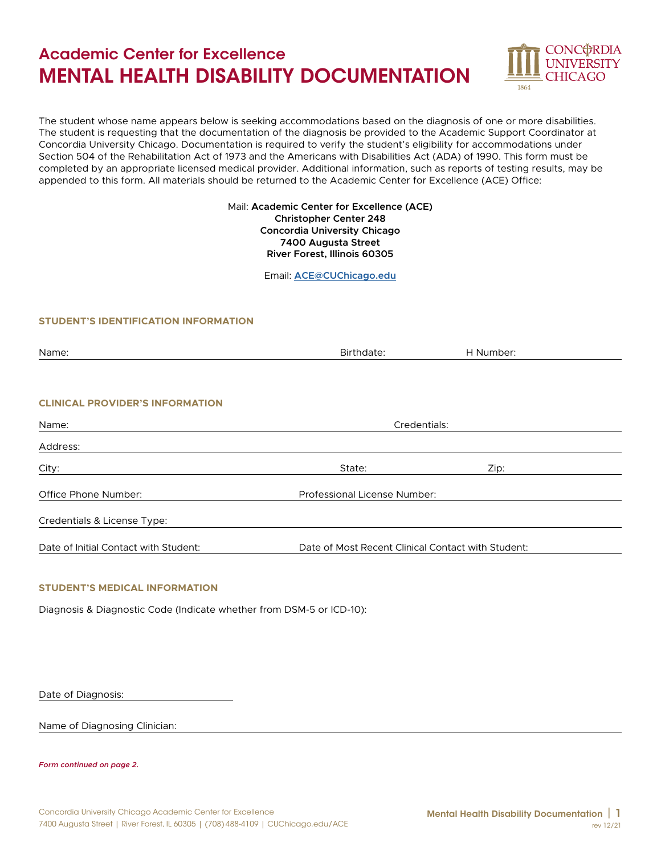# Academic Center for Excellence MENTAL HEALTH DISABILITY DOCUMENTATION



The student whose name appears below is seeking accommodations based on the diagnosis of one or more disabilities. The student is requesting that the documentation of the diagnosis be provided to the Academic Support Coordinator at Concordia University Chicago. Documentation is required to verify the student's eligibility for accommodations under Section 504 of the Rehabilitation Act of 1973 and the Americans with Disabilities Act (ADA) of 1990. This form must be completed by an appropriate licensed medical provider. Additional information, such as reports of testing results, may be appended to this form. All materials should be returned to the Academic Center for Excellence (ACE) Office:

### Mail: **Academic Center for Excellence (ACE) Christopher Center 248 Concordia University Chicago 7400 Augusta Street River Forest, Illinois 60305**

Email: **[ACE@CUChicago.edu](mailto:ACE%40CUChicago.edu?subject=)**

### **STUDENT'S IDENTIFICATION INFORMATION**

| Name:                                  | Birthdate:                                         | H Number: |
|----------------------------------------|----------------------------------------------------|-----------|
|                                        |                                                    |           |
|                                        |                                                    |           |
| <b>CLINICAL PROVIDER'S INFORMATION</b> |                                                    |           |
| Name:                                  | Credentials:                                       |           |
| Address:                               |                                                    |           |
| City:                                  | State:                                             | Zip:      |
| Office Phone Number:                   | Professional License Number:                       |           |
| Credentials & License Type:            |                                                    |           |
| Date of Initial Contact with Student:  | Date of Most Recent Clinical Contact with Student: |           |

### **STUDENT'S MEDICAL INFORMATION**

Diagnosis & Diagnostic Code (Indicate whether from DSM-5 or ICD-10):

Date of Diagnosis:

Name of Diagnosing Clinician:

*Form continued on page 2.*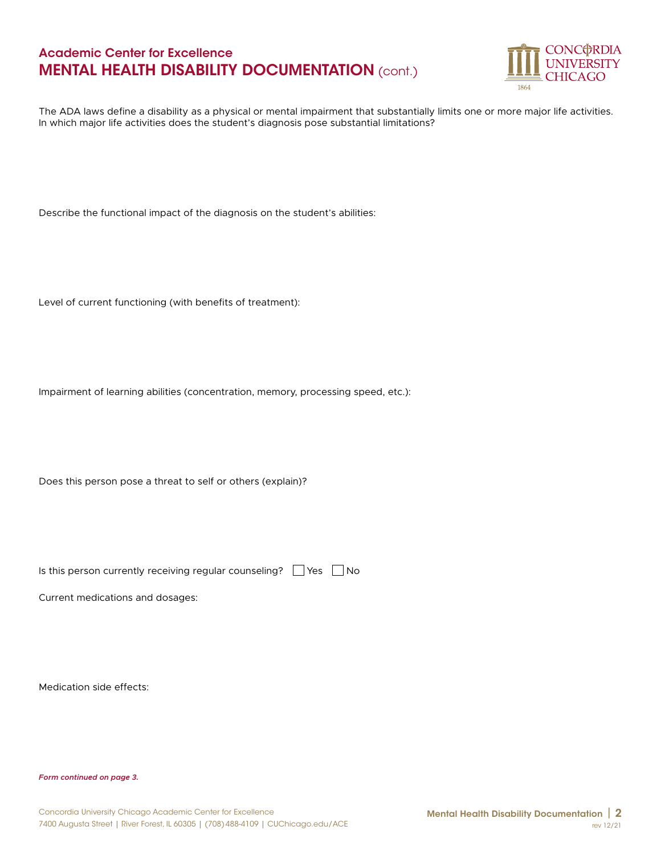# Academic Center for Excellence MENTAL HEALTH DISABILITY DOCUMENTATION (cont.)



The ADA laws define a disability as a physical or mental impairment that substantially limits one or more major life activities. In which major life activities does the student's diagnosis pose substantial limitations?

Describe the functional impact of the diagnosis on the student's abilities:

Level of current functioning (with benefits of treatment):

Impairment of learning abilities (concentration, memory, processing speed, etc.):

Does this person pose a threat to self or others (explain)?

Is this person currently receiving regular counseling?  $\Box$  Yes  $\Box$  No

Current medications and dosages:

Medication side effects:

*Form continued on page 3.*